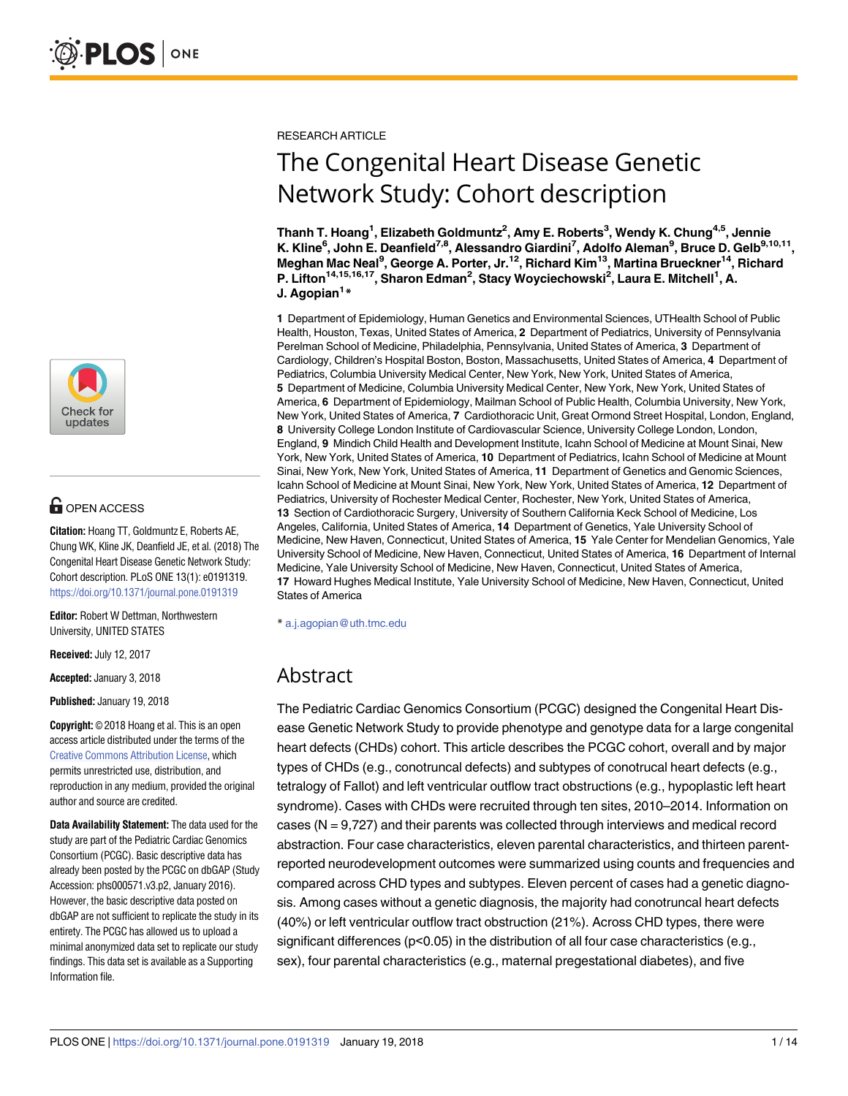

# **G** OPEN ACCESS

**Citation:** Hoang TT, Goldmuntz E, Roberts AE, Chung WK, Kline JK, Deanfield JE, et al. (2018) The Congenital Heart Disease Genetic Network Study: Cohort description. PLoS ONE 13(1): e0191319. <https://doi.org/10.1371/journal.pone.0191319>

**Editor:** Robert W Dettman, Northwestern University, UNITED STATES

**Received:** July 12, 2017

**Accepted:** January 3, 2018

**Published:** January 19, 2018

**Copyright:** © 2018 Hoang et al. This is an open access article distributed under the terms of the Creative Commons [Attribution](http://creativecommons.org/licenses/by/4.0/) License, which permits unrestricted use, distribution, and reproduction in any medium, provided the original author and source are credited.

**Data Availability Statement:** The data used for the study are part of the Pediatric Cardiac Genomics Consortium (PCGC). Basic descriptive data has already been posted by the PCGC on dbGAP (Study Accession: phs000571.v3.p2, January 2016). However, the basic descriptive data posted on dbGAP are not sufficient to replicate the study in its entirety. The PCGC has allowed us to upload a minimal anonymized data set to replicate our study findings. This data set is available as a Supporting Information file.

RESEARCH ARTICLE

# The Congenital Heart Disease Genetic Network Study: Cohort description

**Thanh T. Hoang1 , Elizabeth Goldmuntz2 , Amy E. Roberts3 , Wendy K. Chung4,5, Jennie K. Kline6 , John E. Deanfield7,8, Alessandro Giardini7 , Adolfo Aleman9 , Bruce D. Gelb9,10,11, Meghan Mac Neal9 , George A. Porter, Jr.12, Richard Kim13, Martina Brueckner14, Richard P.** Lifton<sup>14,15,16,17, Sharon Edman<sup>2</sup>, Stacy Woyciechowski<sup>2</sup>, Laura E. Mitchell<sup>1</sup>, A.</sup> **J. Agopian<sup>1</sup> \***

**1** Department of Epidemiology, Human Genetics and Environmental Sciences, UTHealth School of Public Health, Houston, Texas, United States of America, **2** Department of Pediatrics, University of Pennsylvania Perelman School of Medicine, Philadelphia, Pennsylvania, United States of America, **3** Department of Cardiology, Children's Hospital Boston, Boston, Massachusetts, United States of America, **4** Department of Pediatrics, Columbia University Medical Center, New York, New York, United States of America, **5** Department of Medicine, Columbia University Medical Center, New York, New York, United States of America, **6** Department of Epidemiology, Mailman School of Public Health, Columbia University, New York, New York, United States of America, **7** Cardiothoracic Unit, Great Ormond Street Hospital, London, England, **8** University College London Institute of Cardiovascular Science, University College London, London, England, **9** Mindich Child Health and Development Institute, Icahn School of Medicine at Mount Sinai, New York, New York, United States of America, **10** Department of Pediatrics, Icahn School of Medicine at Mount Sinai, New York, New York, United States of America, **11** Department of Genetics and Genomic Sciences, Icahn School of Medicine at Mount Sinai, New York, New York, United States of America, **12** Department of Pediatrics, University of Rochester Medical Center, Rochester, New York, United States of America, **13** Section of Cardiothoracic Surgery, University of Southern California Keck School of Medicine, Los Angeles, California, United States of America, **14** Department of Genetics, Yale University School of Medicine, New Haven, Connecticut, United States of America, **15** Yale Center for Mendelian Genomics, Yale University School of Medicine, New Haven, Connecticut, United States of America, **16** Department of Internal Medicine, Yale University School of Medicine, New Haven, Connecticut, United States of America, **17** Howard Hughes Medical Institute, Yale University School of Medicine, New Haven, Connecticut, United States of America

\* a.j.agopian@uth.tmc.edu

# Abstract

The Pediatric Cardiac Genomics Consortium (PCGC) designed the Congenital Heart Disease Genetic Network Study to provide phenotype and genotype data for a large congenital heart defects (CHDs) cohort. This article describes the PCGC cohort, overall and by major types of CHDs (e.g., conotruncal defects) and subtypes of conotrucal heart defects (e.g., tetralogy of Fallot) and left ventricular outflow tract obstructions (e.g., hypoplastic left heart syndrome). Cases with CHDs were recruited through ten sites, 2010–2014. Information on cases (N = 9,727) and their parents was collected through interviews and medical record abstraction. Four case characteristics, eleven parental characteristics, and thirteen parentreported neurodevelopment outcomes were summarized using counts and frequencies and compared across CHD types and subtypes. Eleven percent of cases had a genetic diagnosis. Among cases without a genetic diagnosis, the majority had conotruncal heart defects (40%) or left ventricular outflow tract obstruction (21%). Across CHD types, there were significant differences (p<0.05) in the distribution of all four case characteristics (e.g., sex), four parental characteristics (e.g., maternal pregestational diabetes), and five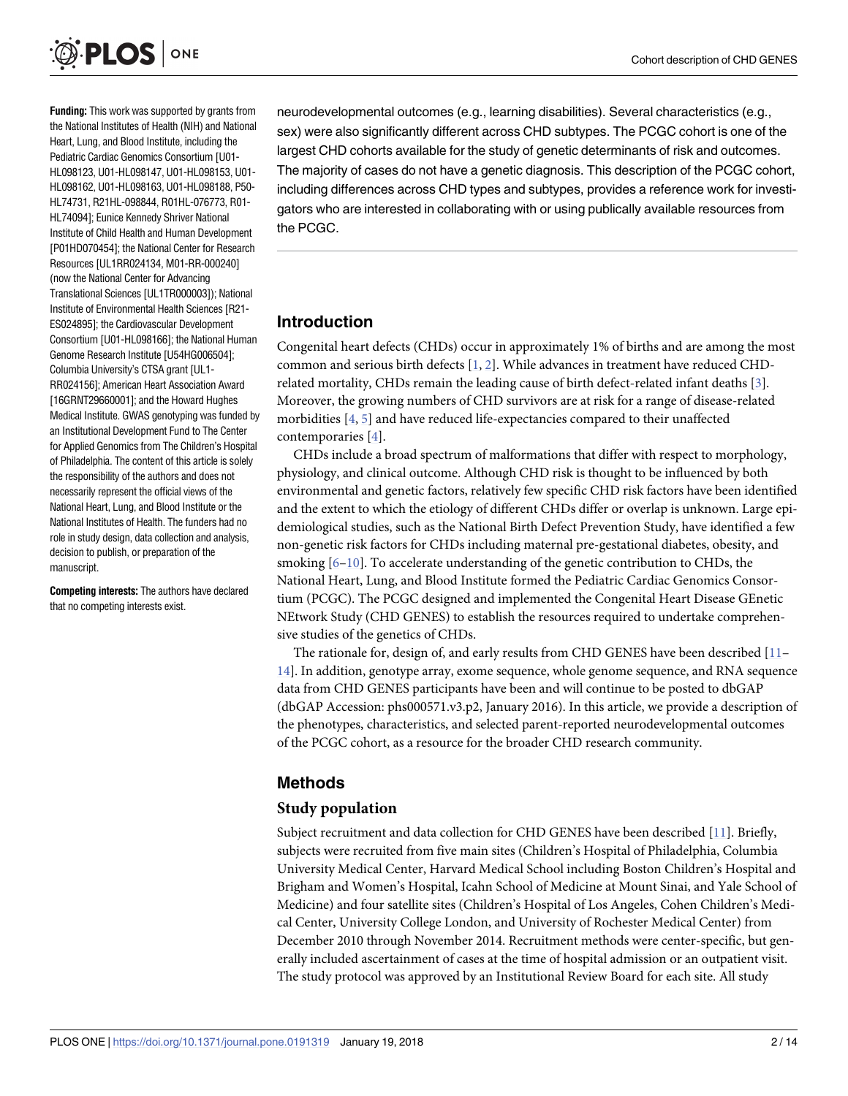<span id="page-1-0"></span>

**Funding:** This work was supported by grants from the National Institutes of Health (NIH) and National Heart, Lung, and Blood Institute, including the Pediatric Cardiac Genomics Consortium [U01- HL098123, U01-HL098147, U01-HL098153, U01- HL098162, U01-HL098163, U01-HL098188, P50- HL74731, R21HL-098844, R01HL-076773, R01- HL74094]; Eunice Kennedy Shriver National Institute of Child Health and Human Development [P01HD070454]; the National Center for Research Resources [UL1RR024134, M01-RR-000240] (now the National Center for Advancing Translational Sciences [UL1TR000003]); National Institute of Environmental Health Sciences [R21- ES024895]; the Cardiovascular Development Consortium [U01-HL098166]; the National Human Genome Research Institute [U54HG006504]; Columbia University's CTSA grant [UL1- RR024156]; American Heart Association Award [16GRNT29660001]; and the Howard Hughes Medical Institute. GWAS genotyping was funded by an Institutional Development Fund to The Center for Applied Genomics from The Children's Hospital of Philadelphia. The content of this article is solely the responsibility of the authors and does not necessarily represent the official views of the National Heart, Lung, and Blood Institute or the National Institutes of Health. The funders had no role in study design, data collection and analysis, decision to publish, or preparation of the manuscript.

**Competing interests:** The authors have declared that no competing interests exist.

neurodevelopmental outcomes (e.g., learning disabilities). Several characteristics (e.g., sex) were also significantly different across CHD subtypes. The PCGC cohort is one of the largest CHD cohorts available for the study of genetic determinants of risk and outcomes. The majority of cases do not have a genetic diagnosis. This description of the PCGC cohort, including differences across CHD types and subtypes, provides a reference work for investigators who are interested in collaborating with or using publically available resources from the PCGC.

# **Introduction**

Congenital heart defects (CHDs) occur in approximately 1% of births and are among the most common and serious birth defects [\[1,](#page-12-0) [2](#page-12-0)]. While advances in treatment have reduced CHDrelated mortality, CHDs remain the leading cause of birth defect-related infant deaths [\[3](#page-12-0)]. Moreover, the growing numbers of CHD survivors are at risk for a range of disease-related morbidities [[4,](#page-12-0) [5\]](#page-12-0) and have reduced life-expectancies compared to their unaffected contemporaries [\[4](#page-12-0)].

CHDs include a broad spectrum of malformations that differ with respect to morphology, physiology, and clinical outcome. Although CHD risk is thought to be influenced by both environmental and genetic factors, relatively few specific CHD risk factors have been identified and the extent to which the etiology of different CHDs differ or overlap is unknown. Large epidemiological studies, such as the National Birth Defect Prevention Study, have identified a few non-genetic risk factors for CHDs including maternal pre-gestational diabetes, obesity, and smoking [\[6–10\]](#page-12-0). To accelerate understanding of the genetic contribution to CHDs, the National Heart, Lung, and Blood Institute formed the Pediatric Cardiac Genomics Consortium (PCGC). The PCGC designed and implemented the Congenital Heart Disease GEnetic NEtwork Study (CHD GENES) to establish the resources required to undertake comprehensive studies of the genetics of CHDs.

The rationale for, design of, and early results from CHD GENES have been described [\[11–](#page-12-0) [14\]](#page-12-0). In addition, genotype array, exome sequence, whole genome sequence, and RNA sequence data from CHD GENES participants have been and will continue to be posted to dbGAP (dbGAP Accession: phs000571.v3.p2, January 2016). In this article, we provide a description of the phenotypes, characteristics, and selected parent-reported neurodevelopmental outcomes of the PCGC cohort, as a resource for the broader CHD research community.

# **Methods**

# **Study population**

Subject recruitment and data collection for CHD GENES have been described [\[11\]](#page-12-0). Briefly, subjects were recruited from five main sites (Children's Hospital of Philadelphia, Columbia University Medical Center, Harvard Medical School including Boston Children's Hospital and Brigham and Women's Hospital, Icahn School of Medicine at Mount Sinai, and Yale School of Medicine) and four satellite sites (Children's Hospital of Los Angeles, Cohen Children's Medical Center, University College London, and University of Rochester Medical Center) from December 2010 through November 2014. Recruitment methods were center-specific, but generally included ascertainment of cases at the time of hospital admission or an outpatient visit. The study protocol was approved by an Institutional Review Board for each site. All study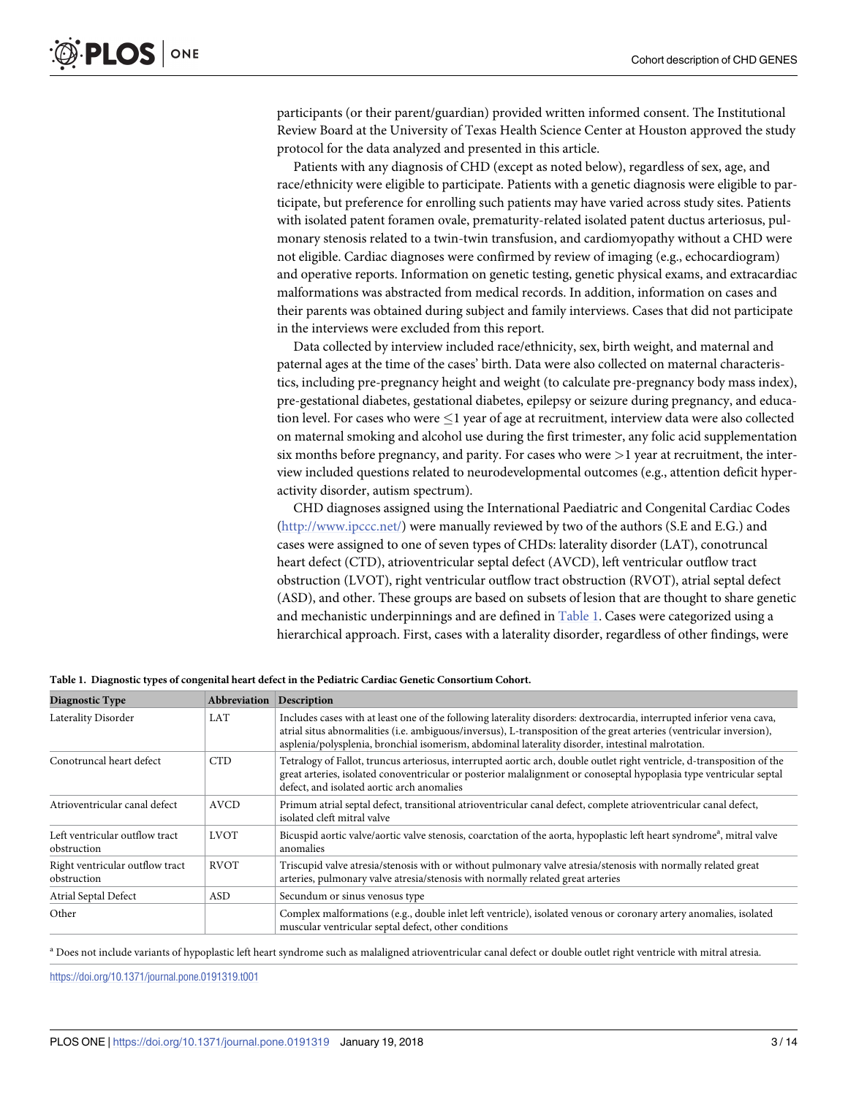participants (or their parent/guardian) provided written informed consent. The Institutional Review Board at the University of Texas Health Science Center at Houston approved the study protocol for the data analyzed and presented in this article.

Patients with any diagnosis of CHD (except as noted below), regardless of sex, age, and race/ethnicity were eligible to participate. Patients with a genetic diagnosis were eligible to participate, but preference for enrolling such patients may have varied across study sites. Patients with isolated patent foramen ovale, prematurity-related isolated patent ductus arteriosus, pulmonary stenosis related to a twin-twin transfusion, and cardiomyopathy without a CHD were not eligible. Cardiac diagnoses were confirmed by review of imaging (e.g., echocardiogram) and operative reports. Information on genetic testing, genetic physical exams, and extracardiac malformations was abstracted from medical records. In addition, information on cases and their parents was obtained during subject and family interviews. Cases that did not participate in the interviews were excluded from this report.

Data collected by interview included race/ethnicity, sex, birth weight, and maternal and paternal ages at the time of the cases' birth. Data were also collected on maternal characteristics, including pre-pregnancy height and weight (to calculate pre-pregnancy body mass index), pre-gestational diabetes, gestational diabetes, epilepsy or seizure during pregnancy, and education level. For cases who were  $\leq$ 1 year of age at recruitment, interview data were also collected on maternal smoking and alcohol use during the first trimester, any folic acid supplementation six months before pregnancy, and parity. For cases who were *>*1 year at recruitment, the interview included questions related to neurodevelopmental outcomes (e.g., attention deficit hyperactivity disorder, autism spectrum).

CHD diagnoses assigned using the International Paediatric and Congenital Cardiac Codes [\(http://www.ipccc.net/](http://www.ipccc.net/)) were manually reviewed by two of the authors (S.E and E.G.) and cases were assigned to one of seven types of CHDs: laterality disorder (LAT), conotruncal heart defect (CTD), atrioventricular septal defect (AVCD), left ventricular outflow tract obstruction (LVOT), right ventricular outflow tract obstruction (RVOT), atrial septal defect (ASD), and other. These groups are based on subsets of lesion that are thought to share genetic and mechanistic underpinnings and are defined in Table 1. Cases were categorized using a hierarchical approach. First, cases with a laterality disorder, regardless of other findings, were

| Diagnostic Type                                | Abbreviation | Description                                                                                                                                                                                                                                                                                                                                        |
|------------------------------------------------|--------------|----------------------------------------------------------------------------------------------------------------------------------------------------------------------------------------------------------------------------------------------------------------------------------------------------------------------------------------------------|
| Laterality Disorder                            | <b>LAT</b>   | Includes cases with at least one of the following laterality disorders: dextrocardia, interrupted inferior vena cava,<br>atrial situs abnormalities (i.e. ambiguous/inversus), L-transposition of the great arteries (ventricular inversion),<br>asplenia/polysplenia, bronchial isomerism, abdominal laterality disorder, intestinal malrotation. |
| Conotruncal heart defect                       | <b>CTD</b>   | Tetralogy of Fallot, truncus arteriosus, interrupted aortic arch, double outlet right ventricle, d-transposition of the<br>great arteries, isolated conoventricular or posterior malalignment or conoseptal hypoplasia type ventricular septal<br>defect, and isolated aortic arch anomalies                                                       |
| Atrioventricular canal defect                  | <b>AVCD</b>  | Primum atrial septal defect, transitional atrioventricular canal defect, complete atrioventricular canal defect,<br>isolated cleft mitral valve                                                                                                                                                                                                    |
| Left ventricular outflow tract<br>obstruction  | <b>LVOT</b>  | Bicuspid aortic valve/aortic valve stenosis, coarctation of the aorta, hypoplastic left heart syndrome <sup>a</sup> , mitral valve<br>anomalies                                                                                                                                                                                                    |
| Right ventricular outflow tract<br>obstruction | <b>RVOT</b>  | Triscupid valve atresia/stenosis with or without pulmonary valve atresia/stenosis with normally related great<br>arteries, pulmonary valve atresia/stenosis with normally related great arteries                                                                                                                                                   |
| Atrial Septal Defect                           | ASD          | Secundum or sinus venosus type                                                                                                                                                                                                                                                                                                                     |
| Other                                          |              | Complex malformations (e.g., double inlet left ventricle), isolated venous or coronary artery anomalies, isolated<br>muscular ventricular septal defect, other conditions                                                                                                                                                                          |

**Table 1. Diagnostic types of congenital heart defect in the Pediatric Cardiac Genetic Consortium Cohort.**

<sup>a</sup> Does not include variants of hypoplastic left heart syndrome such as malaligned atrioventricular canal defect or double outlet right ventricle with mitral atresia.

<https://doi.org/10.1371/journal.pone.0191319.t001>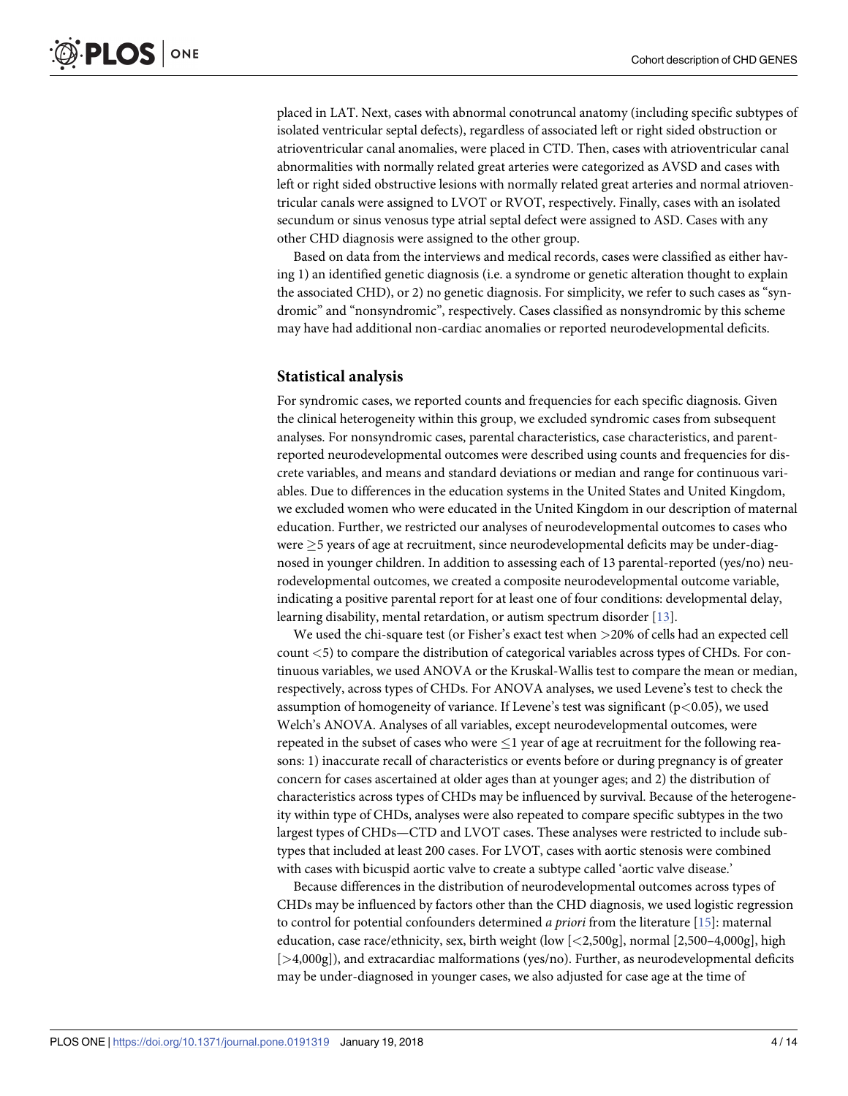<span id="page-3-0"></span>placed in LAT. Next, cases with abnormal conotruncal anatomy (including specific subtypes of isolated ventricular septal defects), regardless of associated left or right sided obstruction or atrioventricular canal anomalies, were placed in CTD. Then, cases with atrioventricular canal abnormalities with normally related great arteries were categorized as AVSD and cases with left or right sided obstructive lesions with normally related great arteries and normal atrioventricular canals were assigned to LVOT or RVOT, respectively. Finally, cases with an isolated secundum or sinus venosus type atrial septal defect were assigned to ASD. Cases with any other CHD diagnosis were assigned to the other group.

Based on data from the interviews and medical records, cases were classified as either having 1) an identified genetic diagnosis (i.e. a syndrome or genetic alteration thought to explain the associated CHD), or 2) no genetic diagnosis. For simplicity, we refer to such cases as "syndromic" and "nonsyndromic", respectively. Cases classified as nonsyndromic by this scheme may have had additional non-cardiac anomalies or reported neurodevelopmental deficits.

#### **Statistical analysis**

For syndromic cases, we reported counts and frequencies for each specific diagnosis. Given the clinical heterogeneity within this group, we excluded syndromic cases from subsequent analyses. For nonsyndromic cases, parental characteristics, case characteristics, and parentreported neurodevelopmental outcomes were described using counts and frequencies for discrete variables, and means and standard deviations or median and range for continuous variables. Due to differences in the education systems in the United States and United Kingdom, we excluded women who were educated in the United Kingdom in our description of maternal education. Further, we restricted our analyses of neurodevelopmental outcomes to cases who were  $\geq$  5 years of age at recruitment, since neurodevelopmental deficits may be under-diagnosed in younger children. In addition to assessing each of 13 parental-reported (yes/no) neurodevelopmental outcomes, we created a composite neurodevelopmental outcome variable, indicating a positive parental report for at least one of four conditions: developmental delay, learning disability, mental retardation, or autism spectrum disorder [\[13\]](#page-12-0).

We used the chi-square test (or Fisher's exact test when *>*20% of cells had an expected cell count *<*5) to compare the distribution of categorical variables across types of CHDs. For continuous variables, we used ANOVA or the Kruskal-Wallis test to compare the mean or median, respectively, across types of CHDs. For ANOVA analyses, we used Levene's test to check the assumption of homogeneity of variance. If Levene's test was significant (p*<*0.05), we used Welch's ANOVA. Analyses of all variables, except neurodevelopmental outcomes, were repeated in the subset of cases who were  $\leq$ 1 year of age at recruitment for the following reasons: 1) inaccurate recall of characteristics or events before or during pregnancy is of greater concern for cases ascertained at older ages than at younger ages; and 2) the distribution of characteristics across types of CHDs may be influenced by survival. Because of the heterogeneity within type of CHDs, analyses were also repeated to compare specific subtypes in the two largest types of CHDs—CTD and LVOT cases. These analyses were restricted to include subtypes that included at least 200 cases. For LVOT, cases with aortic stenosis were combined with cases with bicuspid aortic valve to create a subtype called 'aortic valve disease.'

Because differences in the distribution of neurodevelopmental outcomes across types of CHDs may be influenced by factors other than the CHD diagnosis, we used logistic regression to control for potential confounders determined *a priori* from the literature [\[15\]](#page-13-0): maternal education, case race/ethnicity, sex, birth weight (low [*<*2,500g], normal [2,500–4,000g], high [*>*4,000g]), and extracardiac malformations (yes/no). Further, as neurodevelopmental deficits may be under-diagnosed in younger cases, we also adjusted for case age at the time of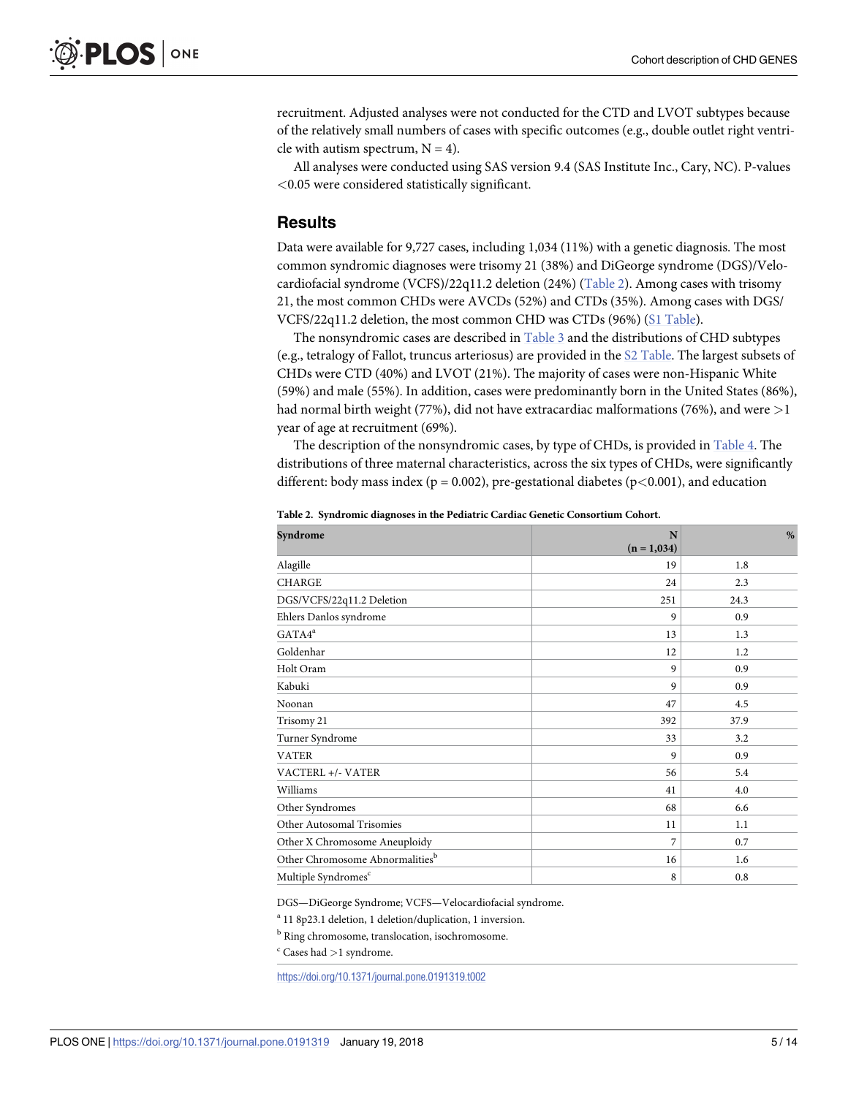<span id="page-4-0"></span>recruitment. Adjusted analyses were not conducted for the CTD and LVOT subtypes because of the relatively small numbers of cases with specific outcomes (e.g., double outlet right ventricle with autism spectrum,  $N = 4$ ).

All analyses were conducted using SAS version 9.4 (SAS Institute Inc., Cary, NC). P-values *<*0.05 were considered statistically significant.

### **Results**

Data were available for 9,727 cases, including 1,034 (11%) with a genetic diagnosis. The most common syndromic diagnoses were trisomy 21 (38%) and DiGeorge syndrome (DGS)/Velocardiofacial syndrome (VCFS)/22q11.2 deletion (24%) (Table 2). Among cases with trisomy 21, the most common CHDs were AVCDs (52%) and CTDs (35%). Among cases with DGS/ VCFS/22q11.2 deletion, the most common CHD was CTDs (96%) (S1 [Table](#page-10-0)).

The nonsyndromic cases are described in [Table](#page-5-0) 3 and the distributions of CHD subtypes (e.g., tetralogy of Fallot, truncus arteriosus) are provided in the S2 [Table.](#page-10-0) The largest subsets of CHDs were CTD (40%) and LVOT (21%). The majority of cases were non-Hispanic White (59%) and male (55%). In addition, cases were predominantly born in the United States (86%), had normal birth weight (77%), did not have extracardiac malformations (76%), and were *>*1 year of age at recruitment (69%).

The description of the nonsyndromic cases, by type of CHDs, is provided in [Table](#page-6-0) 4. The distributions of three maternal characteristics, across the six types of CHDs, were significantly different: body mass index (p = 0.002), pre-gestational diabetes (p*<*0.001), and education

| Syndrome                        | N<br>$(n = 1,034)$ | %    |  |
|---------------------------------|--------------------|------|--|
| Alagille                        | 19                 | 1.8  |  |
| <b>CHARGE</b>                   | 24                 | 2.3  |  |
| DGS/VCFS/22q11.2 Deletion       | 251                | 24.3 |  |
| Ehlers Danlos syndrome          | 9                  | 0.9  |  |
| $GATA4^a$                       | 13                 | 1.3  |  |
| Goldenhar                       | 12                 | 1.2  |  |
| Holt Oram                       | 9                  | 0.9  |  |
| Kabuki                          | 9                  | 0.9  |  |
| Noonan                          | 47                 | 4.5  |  |
| Trisomy 21                      | 392                | 37.9 |  |
| Turner Syndrome                 | 33                 | 3.2  |  |
| <b>VATER</b>                    | 9                  | 0.9  |  |
| VACTERL +/- VATER               | 56                 | 5.4  |  |
| Williams                        | 41                 | 4.0  |  |
| Other Syndromes                 | 68                 | 6.6  |  |
| Other Autosomal Trisomies       | 11                 | 1.1  |  |
| Other X Chromosome Aneuploidy   | 7                  | 0.7  |  |
| Other Chromosome Abnormalitiesb | 16                 | 1.6  |  |
| Multiple Syndromes <sup>c</sup> | 8                  | 0.8  |  |

**Table 2. Syndromic diagnoses in the Pediatric Cardiac Genetic Consortium Cohort.**

DGS—DiGeorge Syndrome; VCFS—Velocardiofacial syndrome.

<sup>a</sup> 11 8p23.1 deletion, 1 deletion/duplication, 1 inversion.

<sup>b</sup> Ring chromosome, translocation, isochromosome.

<sup>c</sup> Cases had *>*1 syndrome.

<https://doi.org/10.1371/journal.pone.0191319.t002>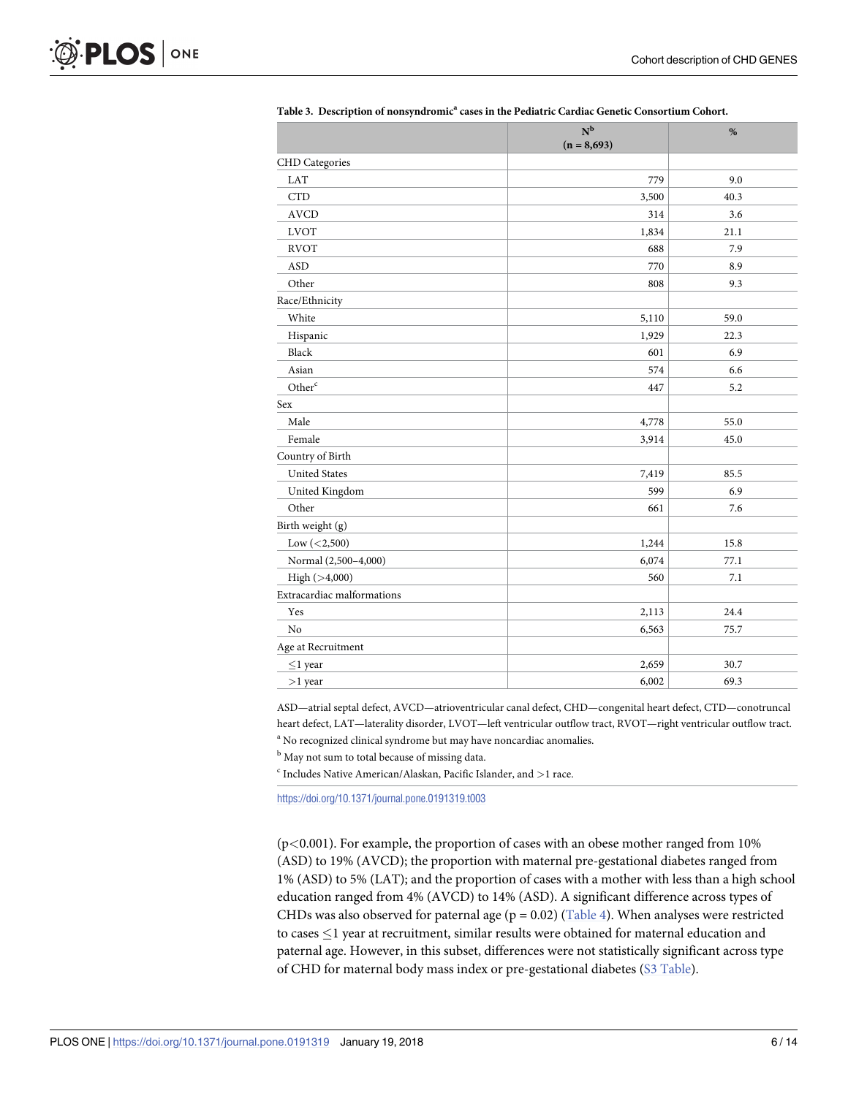|                             | $N^b$<br>$(n = 8,693)$ | $\%$ |
|-----------------------------|------------------------|------|
| CHD Categories              |                        |      |
| <b>LAT</b>                  | 779                    | 9.0  |
| <b>CTD</b>                  | 3,500                  | 40.3 |
| <b>AVCD</b>                 | 314                    | 3.6  |
| <b>LVOT</b>                 |                        |      |
|                             | 1,834                  | 21.1 |
| <b>RVOT</b>                 | 688                    | 7.9  |
| <b>ASD</b>                  | 770                    | 8.9  |
| Other                       | 808                    | 9.3  |
| Race/Ethnicity              |                        |      |
| White                       | 5,110                  | 59.0 |
| Hispanic                    | 1,929                  | 22.3 |
| Black                       | 601                    | 6.9  |
| Asian                       | 574                    | 6.6  |
| $\mathrm{Other}^\mathrm{c}$ | 447                    | 5.2  |
| Sex                         |                        |      |
| Male                        | 4,778                  | 55.0 |
| Female                      | 3,914                  | 45.0 |
| Country of Birth            |                        |      |
| <b>United States</b>        | 7,419                  | 85.5 |
| United Kingdom              | 599                    | 6.9  |
| Other                       | 661                    | 7.6  |
| Birth weight (g)            |                        |      |
| Low $(<2,500)$              | 1,244                  | 15.8 |
| Normal (2,500-4,000)        | 6,074                  | 77.1 |
| High (>4,000)               | 560                    | 7.1  |
| Extracardiac malformations  |                        |      |
| Yes                         | 2,113                  | 24.4 |
| No                          | 6,563                  | 75.7 |
| Age at Recruitment          |                        |      |
| $\leq$ 1 year               | 2,659                  | 30.7 |
| $>1$ year                   | 6,002                  | 69.3 |

<span id="page-5-0"></span>**[Table](#page-4-0) 3. Description of nonsyndromica cases in the Pediatric Cardiac Genetic Consortium Cohort.**

ASD—atrial septal defect, AVCD—atrioventricular canal defect, CHD—congenital heart defect, CTD—conotruncal heart defect, LAT—laterality disorder, LVOT—left ventricular outflow tract, RVOT—right ventricular outflow tract. <sup>a</sup> No recognized clinical syndrome but may have noncardiac anomalies.

<sup>b</sup> May not sum to total because of missing data.

<sup>c</sup> Includes Native American/Alaskan, Pacific Islander, and *>*1 race.

<https://doi.org/10.1371/journal.pone.0191319.t003>

(p*<*0.001). For example, the proportion of cases with an obese mother ranged from 10% (ASD) to 19% (AVCD); the proportion with maternal pre-gestational diabetes ranged from 1% (ASD) to 5% (LAT); and the proportion of cases with a mother with less than a high school education ranged from 4% (AVCD) to 14% (ASD). A significant difference across types of CHDs was also observed for paternal age ( $p = 0.02$ ) ([Table](#page-6-0) 4). When analyses were restricted to cases  $\leq$ 1 year at recruitment, similar results were obtained for maternal education and paternal age. However, in this subset, differences were not statistically significant across type of CHD for maternal body mass index or pre-gestational diabetes (S3 [Table](#page-10-0)).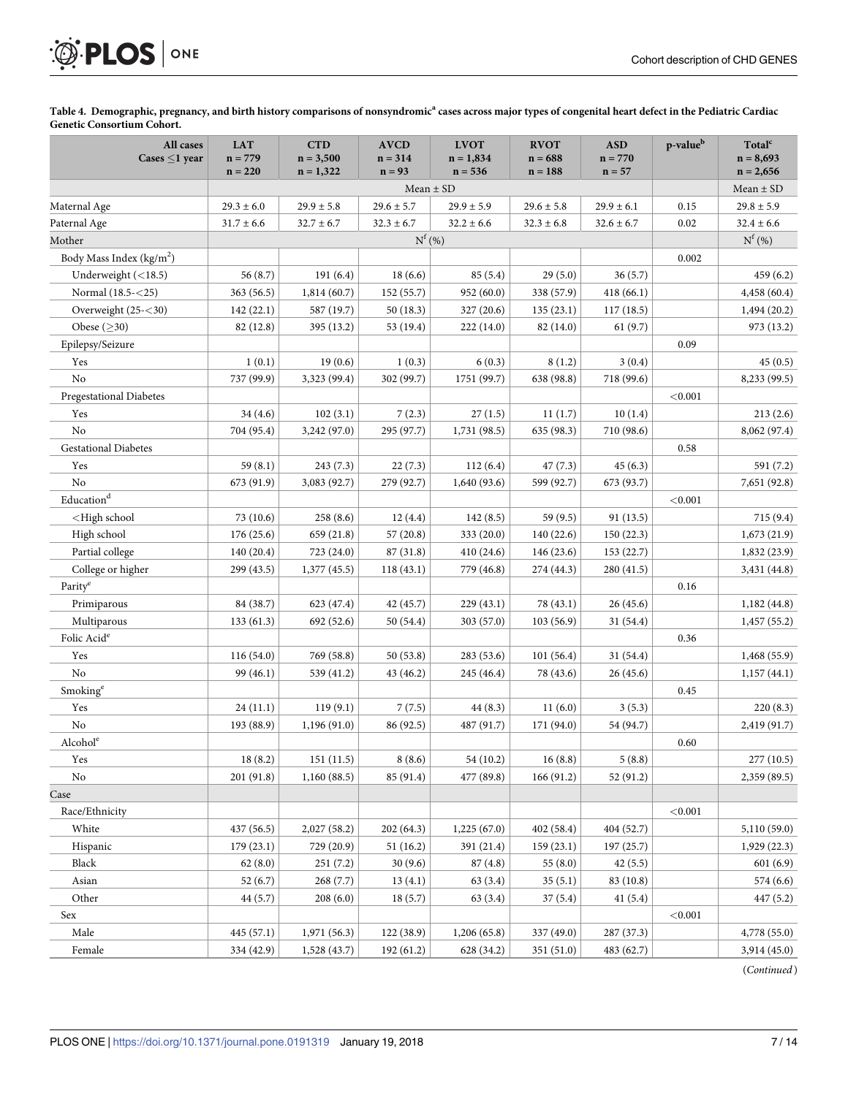<span id="page-6-0"></span>

[Table](#page-4-0) 4. Demographic, pregnancy, and birth history comparisons of nonsyndromic<sup>a</sup> cases across major types of congenital heart defect in the Pediatric Cardiac **Genetic Consortium Cohort.**

| All cases<br>Cases $\leq$ 1 year                                                                                                                                 | <b>LAT</b><br>$n = 779$<br>$n = 220$ | <b>CTD</b><br>$n = 3,500$<br>$n = 1,322$ | <b>AVCD</b><br>$n = 314$<br>$n = 93$ | <b>LVOT</b><br>$n = 1,834$<br>$n = 536$ | <b>RVOT</b><br>$n = 688$<br>$n = 188$ | $\bf{ASD}$<br>$n = 770$<br>$n = 57$ | p-value <sup>b</sup> | Total <sup>c</sup><br>$n = 8,693$<br>$n = 2,656$ |
|------------------------------------------------------------------------------------------------------------------------------------------------------------------|--------------------------------------|------------------------------------------|--------------------------------------|-----------------------------------------|---------------------------------------|-------------------------------------|----------------------|--------------------------------------------------|
|                                                                                                                                                                  | $Mean \pm SD$                        |                                          |                                      |                                         |                                       |                                     |                      | $Mean \pm SD$                                    |
| Maternal Age                                                                                                                                                     | $29.3 \pm 6.0$                       | $29.9 \pm 5.8$                           | $29.6 \pm 5.7$                       | $29.9 \pm 5.9$                          | $29.6 \pm 5.8$                        | $29.9 \pm 6.1$                      | 0.15                 | $29.8 \pm 5.9$                                   |
| Paternal Age                                                                                                                                                     | $31.7 \pm 6.6$                       | $32.7 \pm 6.7$                           | $32.3 \pm 6.7$                       | $32.2 \pm 6.6$                          | $32.3 \pm 6.8$                        | $32.6 \pm 6.7$                      | 0.02                 | $32.4 \pm 6.6$                                   |
| Mother                                                                                                                                                           |                                      |                                          | $N^{f}(\%)$                          |                                         |                                       |                                     |                      | $N^{f}(\%)$                                      |
| Body Mass Index (kg/m <sup>2</sup> )                                                                                                                             |                                      |                                          |                                      |                                         |                                       |                                     | 0.002                |                                                  |
| Underweight $(<18.5)$                                                                                                                                            | 56 (8.7)                             | 191(6.4)                                 | 18(6.6)                              | 85 (5.4)                                | 29(5.0)                               | 36(5.7)                             |                      | 459 (6.2)                                        |
| Normal (18.5-<25)                                                                                                                                                | 363 (56.5)                           | 1,814(60.7)                              | 152 (55.7)                           | 952(60.0)                               | 338 (57.9)                            | 418(66.1)                           |                      | 4,458 (60.4)                                     |
| Overweight (25-<30)                                                                                                                                              | 142 (22.1)                           | 587 (19.7)                               | 50(18.3)                             | 327(20.6)                               | 135(23.1)                             | 117(18.5)                           |                      | 1,494(20.2)                                      |
| Obese $(\geq 30)$                                                                                                                                                | 82 (12.8)                            | 395 (13.2)                               | 53 (19.4)                            | 222 (14.0)                              | 82(14.0)                              | 61(9.7)                             |                      | 973 (13.2)                                       |
| Epilepsy/Seizure                                                                                                                                                 |                                      |                                          |                                      |                                         |                                       |                                     | 0.09                 |                                                  |
| Yes                                                                                                                                                              | 1(0.1)                               | 19(0.6)                                  | 1(0.3)                               | 6(0.3)                                  | 8(1.2)                                | 3(0.4)                              |                      | 45(0.5)                                          |
| No                                                                                                                                                               | 737 (99.9)                           | 3,323 (99.4)                             | 302 (99.7)                           | 1751 (99.7)                             | 638 (98.8)                            | 718 (99.6)                          |                      | 8,233 (99.5)                                     |
| Pregestational Diabetes                                                                                                                                          |                                      |                                          |                                      |                                         |                                       |                                     | < 0.001              |                                                  |
| Yes                                                                                                                                                              | 34(4.6)                              | 102(3.1)                                 | 7(2.3)                               | 27(1.5)                                 | 11(1.7)                               | 10(1.4)                             |                      | 213(2.6)                                         |
| No                                                                                                                                                               | 704 (95.4)                           | 3,242 (97.0)                             | 295 (97.7)                           | 1,731 (98.5)                            | 635(98.3)                             | 710 (98.6)                          |                      | 8,062 (97.4)                                     |
| <b>Gestational Diabetes</b>                                                                                                                                      |                                      |                                          |                                      |                                         |                                       |                                     | 0.58                 |                                                  |
| Yes                                                                                                                                                              | 59(8.1)                              | 243(7.3)                                 | 22(7.3)                              | 112(6.4)                                | 47(7.3)                               | 45(6.3)                             |                      | 591 (7.2)                                        |
| No                                                                                                                                                               | 673 (91.9)                           | 3,083 (92.7)                             | 279 (92.7)                           | 1,640(93.6)                             | 599 (92.7)                            | 673 (93.7)                          |                      | 7,651 (92.8)                                     |
| Education <sup>d</sup>                                                                                                                                           |                                      |                                          |                                      |                                         |                                       |                                     | < 0.001              |                                                  |
| <high school<="" td=""><td>73 (10.6)</td><td>258(8.6)</td><td>12(4.4)</td><td>142(8.5)</td><td>59 (9.5)</td><td>91 (13.5)</td><td></td><td>715 (9.4)</td></high> | 73 (10.6)                            | 258(8.6)                                 | 12(4.4)                              | 142(8.5)                                | 59 (9.5)                              | 91 (13.5)                           |                      | 715 (9.4)                                        |
| High school                                                                                                                                                      | 176(25.6)                            | 659 (21.8)                               | 57(20.8)                             | 333 (20.0)                              | 140(22.6)                             | 150(22.3)                           |                      | 1,673(21.9)                                      |
| Partial college                                                                                                                                                  | 140(20.4)                            | 723 (24.0)                               | 87 (31.8)                            | 410 (24.6)                              | 146 (23.6)                            | 153 (22.7)                          |                      | 1,832 (23.9)                                     |
| College or higher                                                                                                                                                | 299 (43.5)                           | 1,377(45.5)                              | 118(43.1)                            | 779 (46.8)                              | 274 (44.3)                            | 280 (41.5)                          |                      | 3,431 (44.8)                                     |
| Parity <sup>e</sup>                                                                                                                                              |                                      |                                          |                                      |                                         |                                       |                                     | 0.16                 |                                                  |
| Primiparous                                                                                                                                                      | 84 (38.7)                            | 623 (47.4)                               | 42 (45.7)                            | 229 (43.1)                              | 78 (43.1)                             | 26(45.6)                            |                      | 1,182(44.8)                                      |
| Multiparous                                                                                                                                                      | 133(61.3)                            | 692 (52.6)                               | 50 (54.4)                            | 303(57.0)                               | 103(56.9)                             | 31(54.4)                            |                      | 1,457(55.2)                                      |
| Folic Acid <sup>e</sup>                                                                                                                                          |                                      |                                          |                                      |                                         |                                       |                                     | 0.36                 |                                                  |
| Yes                                                                                                                                                              | 116(54.0)                            | 769 (58.8)                               | 50(53.8)                             | 283 (53.6)                              | 101(56.4)                             | 31 (54.4)                           |                      | 1,468(55.9)                                      |
| No                                                                                                                                                               | 99 (46.1)                            | 539 (41.2)                               | 43 (46.2)                            | 245 (46.4)                              | 78 (43.6)                             | 26 (45.6)                           |                      | 1,157(44.1)                                      |
| $\mathop{\underline{\rm Smoking}^{\rm e}}$                                                                                                                       |                                      |                                          |                                      |                                         |                                       |                                     | 0.45                 |                                                  |
| Yes                                                                                                                                                              | 24(11.1)                             | 119(9.1)                                 | 7(7.5)                               | 44(8.3)                                 | 11(6.0)                               | 3(5.3)                              |                      | 220 (8.3)                                        |
| $\rm No$                                                                                                                                                         | 193 (88.9)                           | 1,196 (91.0)                             | 86 (92.5)                            | 487 (91.7)                              | 171 (94.0)                            | 54 (94.7)                           |                      | 2,419 (91.7)                                     |
| Alcohol <sup>e</sup>                                                                                                                                             |                                      |                                          |                                      |                                         |                                       |                                     | 0.60                 |                                                  |
| Yes                                                                                                                                                              | 18(8.2)                              | 151(11.5)                                | 8(8.6)                               | 54 (10.2)                               | 16(8.8)                               | 5(8.8)                              |                      | 277 (10.5)                                       |
| No                                                                                                                                                               | 201 (91.8)                           | 1,160(88.5)                              | 85 (91.4)                            | 477 (89.8)                              | 166(91.2)                             | 52 (91.2)                           |                      | 2,359 (89.5)                                     |
| Case                                                                                                                                                             |                                      |                                          |                                      |                                         |                                       |                                     |                      |                                                  |
| Race/Ethnicity                                                                                                                                                   |                                      |                                          |                                      |                                         |                                       |                                     | < 0.001              |                                                  |
| White                                                                                                                                                            | 437 (56.5)                           | 2,027(58.2)                              | 202 (64.3)                           | 1,225(67.0)                             | 402 (58.4)                            | 404 (52.7)                          |                      | 5,110 (59.0)                                     |
| Hispanic                                                                                                                                                         | 179(23.1)                            | 729 (20.9)                               | 51(16.2)                             | 391 (21.4)                              | 159(23.1)                             | 197(25.7)                           |                      | 1,929(22.3)                                      |
| Black                                                                                                                                                            | 62(8.0)                              | 251(7.2)                                 | 30(9.6)                              | 87(4.8)                                 | 55 $(8.0)$                            | 42(5.5)                             |                      | 601(6.9)                                         |
| Asian                                                                                                                                                            | 52(6.7)                              | 268(7.7)                                 | 13(4.1)                              | 63(3.4)                                 | 35(5.1)                               | 83 (10.8)                           |                      | 574(6.6)                                         |
| Other                                                                                                                                                            | 44 (5.7)                             | 208(6.0)                                 | 18(5.7)                              | 63(3.4)                                 | 37(5.4)                               | 41(5.4)                             |                      | 447(5.2)                                         |
| Sex                                                                                                                                                              |                                      |                                          |                                      |                                         |                                       |                                     | < 0.001              |                                                  |
| Male                                                                                                                                                             | 445 (57.1)                           | 1,971(56.3)                              | 122(38.9)                            | 1,206(65.8)                             | 337 (49.0)                            | 287 (37.3)                          |                      | 4,778 (55.0)                                     |
| Female                                                                                                                                                           | 334 (42.9)                           | 1,528(43.7)                              | 192(61.2)                            | 628 (34.2)                              | 351 (51.0)                            | 483 (62.7)                          |                      | 3,914 (45.0)                                     |

(*Continued* )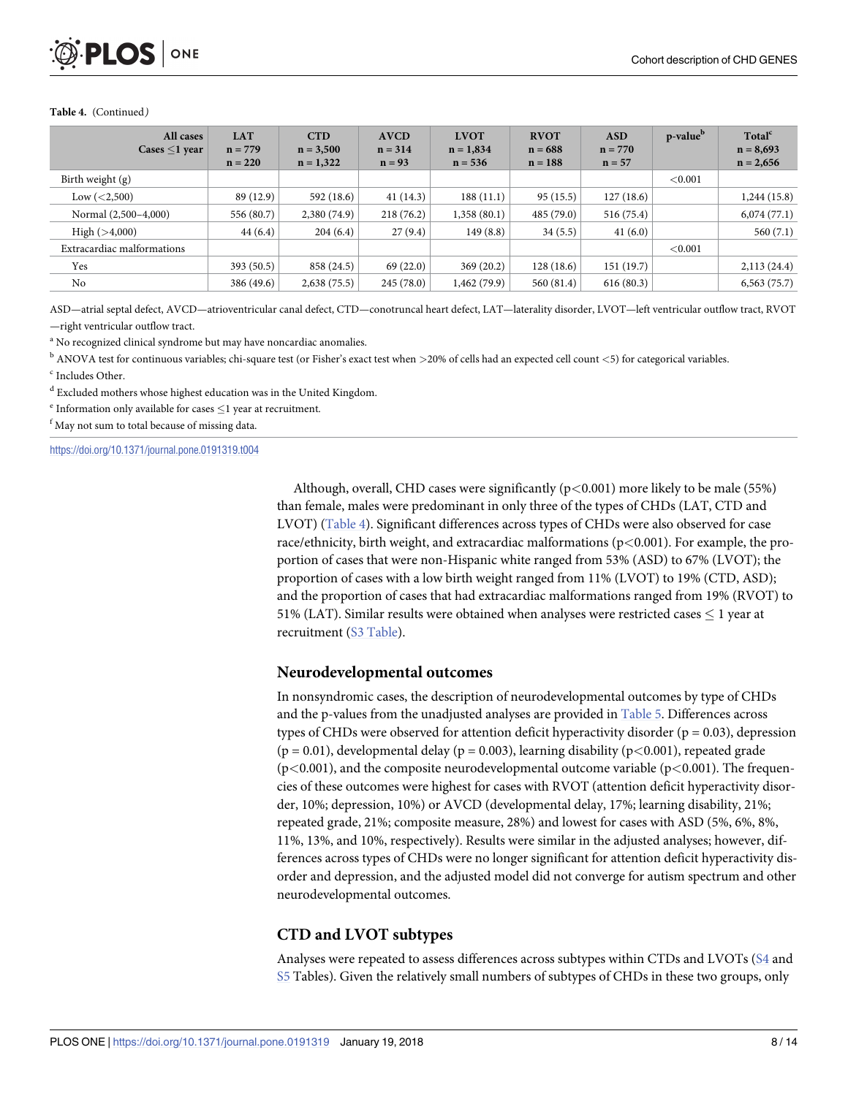#### <span id="page-7-0"></span>**Table 4.** (Continued*)*

| All cases<br>$\text{Case} \leq 1 \text{ year}$ | <b>LAT</b><br>$n = 779$ | <b>CTD</b><br>$n = 3,500$ | <b>AVCD</b><br>$n = 314$ | <b>LVOT</b><br>$n = 1,834$ | <b>RVOT</b><br>$n = 688$ | <b>ASD</b><br>$n = 770$ | p-value <sup>b</sup> | Total <sup>c</sup><br>$n = 8,693$ |
|------------------------------------------------|-------------------------|---------------------------|--------------------------|----------------------------|--------------------------|-------------------------|----------------------|-----------------------------------|
|                                                | $n = 220$               | $n = 1,322$               | $n = 93$                 | $n = 536$                  | $n = 188$                | $n = 57$                |                      | $n = 2,656$                       |
| Birth weight $(g)$                             |                         |                           |                          |                            |                          |                         | $<$ 0.001            |                                   |
| Low $(<2,500)$                                 | 89 (12.9)               | 592 (18.6)                | 41(14.3)                 | 188(11.1)                  | 95(15.5)                 | 127(18.6)               |                      | 1,244(15.8)                       |
| Normal (2,500-4,000)                           | 556 (80.7)              | 2,380(74.9)               | 218(76.2)                | 1,358(80.1)                | 485(79.0)                | 516 (75.4)              |                      | 6,074(77.1)                       |
| High (>4,000)                                  | 44(6.4)                 | 204(6.4)                  | 27(9.4)                  | 149(8.8)                   | 34(5.5)                  | 41(6.0)                 |                      | 560(7.1)                          |
| Extracardiac malformations                     |                         |                           |                          |                            |                          |                         | $<$ 0.001            |                                   |
| Yes                                            | 393(50.5)               | 858 (24.5)                | 69(22.0)                 | 369(20.2)                  | 128(18.6)                | 151(19.7)               |                      | 2,113(24.4)                       |
| No                                             | 386 (49.6)              | 2,638(75.5)               | 245(78.0)                | 1,462 (79.9)               | 560 (81.4)               | 616(80.3)               |                      | 6,563(75.7)                       |

ASD—atrial septal defect, AVCD—atrioventricular canal defect, CTD—conotruncal heart defect, LAT—laterality disorder, LVOT—left ventricular outflow tract, RVOT —right ventricular outflow tract.

<sup>a</sup> No recognized clinical syndrome but may have noncardiac anomalies.

<sup>b</sup> ANOVA test for continuous variables; chi-square test (or Fisher's exact test when *>*20% of cells had an expected cell count *<*5) for categorical variables. <sup>c</sup> Includes Other.

<sup>d</sup> Excluded mothers whose highest education was in the United Kingdom.

 $e$  Information only available for cases  $\leq$ 1 year at recruitment.

f May not sum to total because of missing data.

<https://doi.org/10.1371/journal.pone.0191319.t004>

Although, overall, CHD cases were significantly (p*<*0.001) more likely to be male (55%) than female, males were predominant in only three of the types of CHDs (LAT, CTD and LVOT) ([Table](#page-6-0) 4). Significant differences across types of CHDs were also observed for case race/ethnicity, birth weight, and extracardiac malformations (p*<*0.001). For example, the proportion of cases that were non-Hispanic white ranged from 53% (ASD) to 67% (LVOT); the proportion of cases with a low birth weight ranged from 11% (LVOT) to 19% (CTD, ASD); and the proportion of cases that had extracardiac malformations ranged from 19% (RVOT) to 51% (LAT). Similar results were obtained when analyses were restricted cases  $\leq$  1 year at recruitment (S3 [Table](#page-10-0)).

#### **Neurodevelopmental outcomes**

In nonsyndromic cases, the description of neurodevelopmental outcomes by type of CHDs and the p-values from the unadjusted analyses are provided in [Table](#page-8-0) 5. Differences across types of CHDs were observed for attention deficit hyperactivity disorder ( $p = 0.03$ ), depression (p = 0.01), developmental delay (p = 0.003), learning disability (p*<*0.001), repeated grade (p*<*0.001), and the composite neurodevelopmental outcome variable (p*<*0.001). The frequencies of these outcomes were highest for cases with RVOT (attention deficit hyperactivity disorder, 10%; depression, 10%) or AVCD (developmental delay, 17%; learning disability, 21%; repeated grade, 21%; composite measure, 28%) and lowest for cases with ASD (5%, 6%, 8%, 11%, 13%, and 10%, respectively). Results were similar in the adjusted analyses; however, differences across types of CHDs were no longer significant for attention deficit hyperactivity disorder and depression, and the adjusted model did not converge for autism spectrum and other neurodevelopmental outcomes.

#### **CTD and LVOT subtypes**

Analyses were repeated to assess differences across subtypes within CTDs and LVOTs [\(S4](#page-10-0) and [S5](#page-11-0) Tables). Given the relatively small numbers of subtypes of CHDs in these two groups, only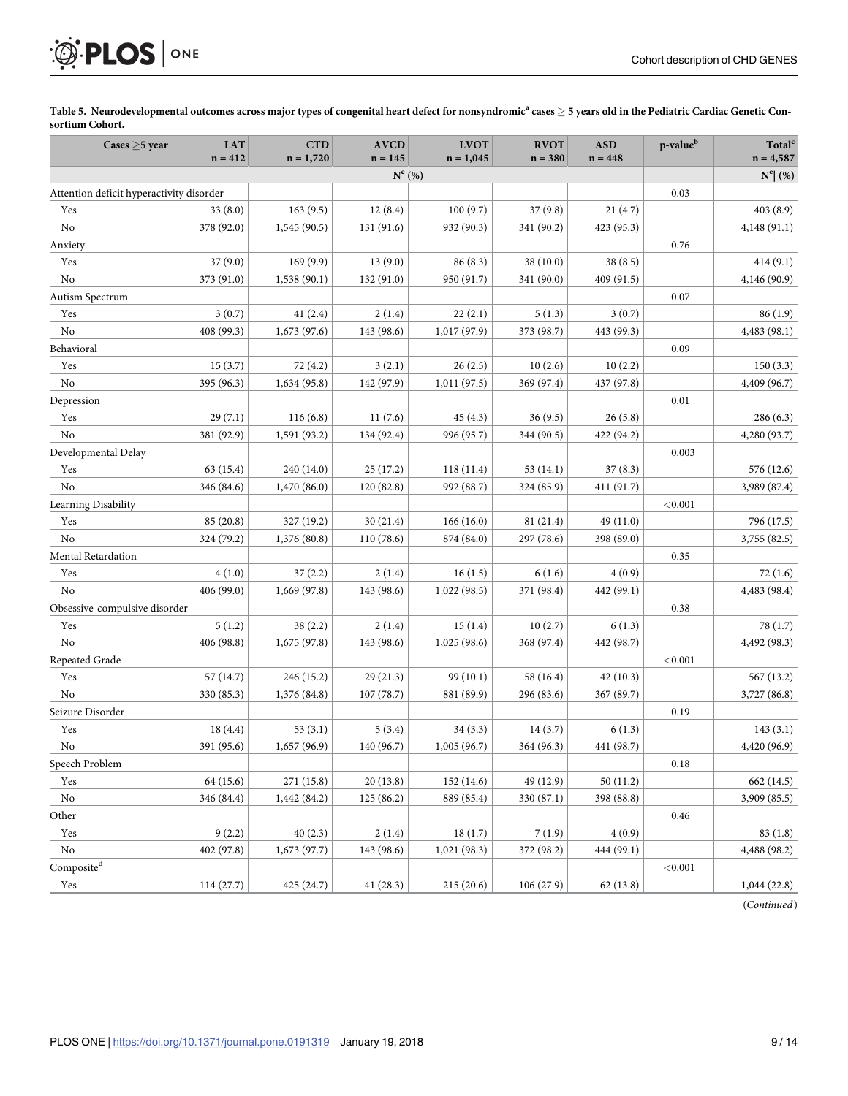<span id="page-8-0"></span>

| Cases $\geq$ 5 year                      | <b>LAT</b><br>$n = 412$ | <b>CTD</b><br>$n = 1,720$ | <b>AVCD</b><br>$n = 145$ | <b>LVOT</b><br>$n = 1,045$ | <b>RVOT</b><br>$n = 380$ | <b>ASD</b><br>$n = 448$ | p-value <sup>b</sup> | Total <sup>c</sup><br>$n = 4,587$ |
|------------------------------------------|-------------------------|---------------------------|--------------------------|----------------------------|--------------------------|-------------------------|----------------------|-----------------------------------|
|                                          |                         |                           | $N^{e}$ (%)              |                            |                          |                         |                      | $N^e $ (%)                        |
| Attention deficit hyperactivity disorder |                         |                           |                          |                            |                          |                         | 0.03                 |                                   |
| Yes                                      | 33(8.0)                 | 163(9.5)                  | 12(8.4)                  | 100(9.7)                   | 37 (9.8)                 | 21(4.7)                 |                      | 403 (8.9)                         |
| No                                       | 378 (92.0)              | 1,545(90.5)               | 131 (91.6)               | 932 (90.3)                 | 341 (90.2)               | 423 (95.3)              |                      | 4,148(91.1)                       |
| Anxiety                                  |                         |                           |                          |                            |                          |                         | 0.76                 |                                   |
| Yes                                      | 37(9.0)                 | 169(9.9)                  | 13(9.0)                  | 86(8.3)                    | 38 (10.0)                | 38(8.5)                 |                      | 414(9.1)                          |
| No                                       | 373 (91.0)              | 1,538(90.1)               | 132 (91.0)               | 950 (91.7)                 | 341 (90.0)               | 409 (91.5)              |                      | 4,146 (90.9)                      |
| Autism Spectrum                          |                         |                           |                          |                            |                          |                         | 0.07                 |                                   |
| Yes                                      | 3(0.7)                  | 41(2.4)                   | 2(1.4)                   | 22(2.1)                    | 5(1.3)                   | 3(0.7)                  |                      | 86(1.9)                           |
| No                                       | 408 (99.3)              | 1,673(97.6)               | 143 (98.6)               | 1,017(97.9)                | 373 (98.7)               | 443 (99.3)              |                      | 4,483 (98.1)                      |
| Behavioral                               |                         |                           |                          |                            |                          |                         | 0.09                 |                                   |
| Yes                                      | 15(3.7)                 | 72 (4.2)                  | 3(2.1)                   | 26(2.5)                    | 10(2.6)                  | 10(2.2)                 |                      | 150(3.3)                          |
| No                                       | 395 (96.3)              | 1,634(95.8)               | 142 (97.9)               | 1,011(97.5)                | 369 (97.4)               | 437 (97.8)              |                      | 4,409 (96.7)                      |
| Depression                               |                         |                           |                          |                            |                          |                         | 0.01                 |                                   |
| Yes                                      | 29(7.1)                 | 116(6.8)                  | 11(7.6)                  | 45(4.3)                    | 36(9.5)                  | 26(5.8)                 |                      | 286 (6.3)                         |
| No                                       | 381 (92.9)              | 1,591 (93.2)              | 134 (92.4)               | 996 (95.7)                 | 344 (90.5)               | 422 (94.2)              |                      | 4,280 (93.7)                      |
| Developmental Delay                      |                         |                           |                          |                            |                          |                         | 0.003                |                                   |
| Yes                                      | 63 (15.4)               | 240 (14.0)                | 25 (17.2)                | 118(11.4)                  | 53(14.1)                 | 37(8.3)                 |                      | 576 (12.6)                        |
| No                                       | 346 (84.6)              | 1,470(86.0)               | 120(82.8)                | 992 (88.7)                 | 324 (85.9)               | 411 (91.7)              |                      | 3,989 (87.4)                      |
| Learning Disability                      |                         |                           |                          |                            |                          |                         | < 0.001              |                                   |
| Yes                                      | 85 (20.8)               | 327 (19.2)                | 30(21.4)                 | 166(16.0)                  | 81 (21.4)                | 49 (11.0)               |                      | 796 (17.5)                        |
| No                                       | 324 (79.2)              | 1,376 (80.8)              | 110(78.6)                | 874 (84.0)                 | 297 (78.6)               | 398 (89.0)              |                      | 3,755 (82.5)                      |
| Mental Retardation                       |                         |                           |                          |                            |                          |                         | 0.35                 |                                   |
| Yes                                      | 4(1.0)                  | 37(2.2)                   | 2(1.4)                   | 16(1.5)                    | 6(1.6)                   | 4(0.9)                  |                      | 72(1.6)                           |
| N <sub>o</sub>                           | 406 (99.0)              | 1,669(97.8)               | 143 (98.6)               | 1,022(98.5)                | 371 (98.4)               | 442 (99.1)              |                      | 4,483 (98.4)                      |
| Obsessive-compulsive disorder            |                         |                           |                          |                            |                          |                         | 0.38                 |                                   |
| Yes                                      | 5(1.2)                  | 38(2.2)                   | 2(1.4)                   | 15(1.4)                    | 10(2.7)                  | 6(1.3)                  |                      | 78 (1.7)                          |
| N <sub>o</sub>                           | 406 (98.8)              | 1,675(97.8)               | 143 (98.6)               | 1,025(98.6)                | 368 (97.4)               | 442 (98.7)              |                      | 4,492 (98.3)                      |
| Repeated Grade                           |                         |                           |                          |                            |                          |                         | < 0.001              |                                   |
| Yes                                      | 57 (14.7)               | 246 (15.2)                | 29 (21.3)                | 99(10.1)                   | 58 (16.4)                | 42(10.3)                |                      | 567 (13.2)                        |
| No                                       | 330 (85.3)              | 1,376 (84.8)              | 107(78.7)                | 881 (89.9)                 | 296 (83.6)               | 367 (89.7)              |                      | 3,727 (86.8)                      |
| Seizure Disorder                         |                         |                           |                          |                            |                          |                         | 0.19                 |                                   |
| Yes                                      | 18(4.4)                 | 53(3.1)                   | 5(3.4)                   | 34(3.3)                    | 14(3.7)                  | 6(1.3)                  |                      | 143(3.1)                          |
| No                                       | 391 (95.6)              | 1,657(96.9)               | 140 (96.7)               | 1,005(96.7)                | 364 (96.3)               | 441 (98.7)              |                      | 4,420 (96.9)                      |
| Speech Problem                           |                         |                           |                          |                            |                          |                         | 0.18                 |                                   |
| Yes                                      | 64 (15.6)               | 271 (15.8)                | 20(13.8)                 | 152 (14.6)                 | 49 (12.9)                | 50(11.2)                |                      | 662 (14.5)                        |
| No                                       | 346 (84.4)              | 1,442(84.2)               | 125(86.2)                | 889 (85.4)                 | 330 (87.1)               | 398 (88.8)              |                      | 3,909 (85.5)                      |
| Other                                    |                         |                           |                          |                            |                          |                         | 0.46                 |                                   |
| Yes                                      | 9(2.2)                  | 40(2.3)                   | 2(1.4)                   | 18(1.7)                    | 7(1.9)                   | 4(0.9)                  |                      | 83(1.8)                           |
| No                                       | 402 (97.8)              | 1,673(97.7)               | 143 (98.6)               | 1,021(98.3)                | 372 (98.2)               | 444 (99.1)              |                      | 4,488 (98.2)                      |
| $Composite^d$                            |                         |                           |                          |                            |                          |                         | < 0.001              |                                   |
| Yes                                      | 114 (27.7)              | 425 (24.7)                | 41(28.3)                 | 215(20.6)                  | 106(27.9)                | 62(13.8)                |                      | 1,044(22.8)                       |
|                                          |                         |                           |                          |                            |                          |                         |                      |                                   |

[Table](#page-7-0) 5. Neurodevelopmental outcomes across major types of congenital heart defect for nonsyndromic $^a$  cases  $\geq$  5 years old in the Pediatric Cardiac Genetic Con**sortium Cohort.**

(*Continued*)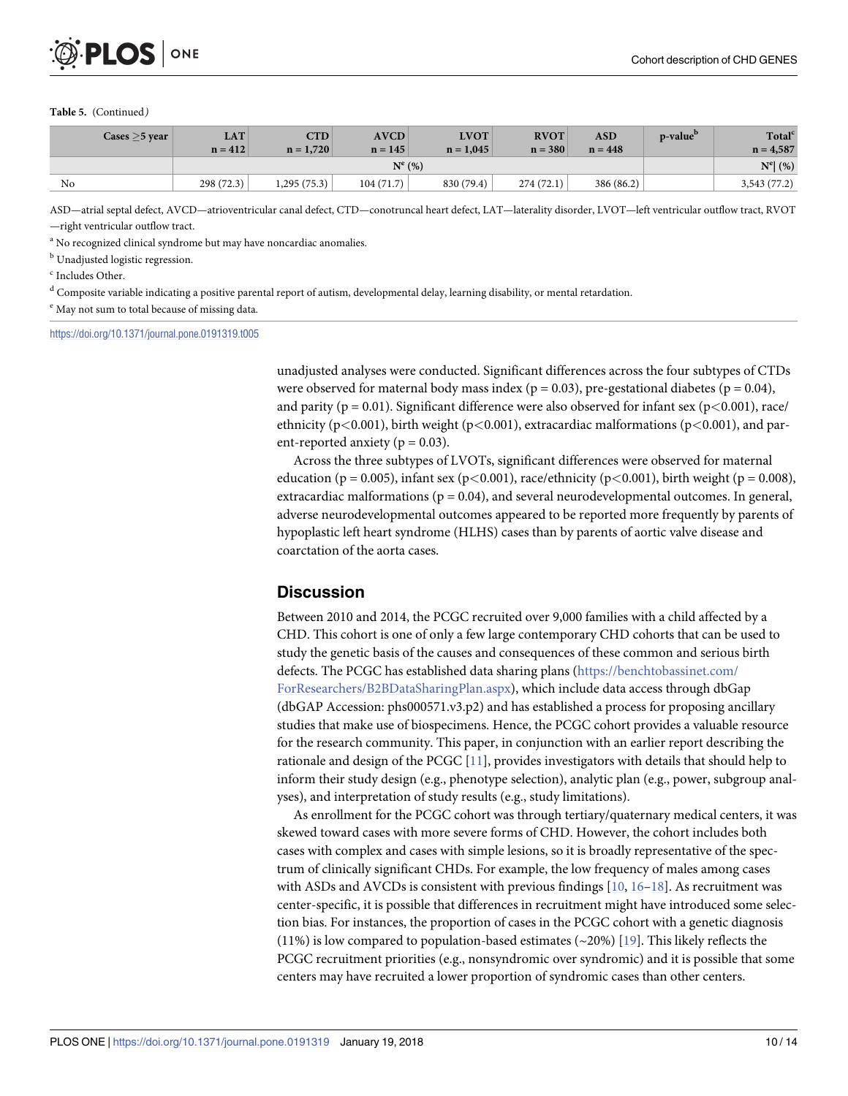#### <span id="page-9-0"></span>**Table 5.** (Continued*)*

| Cases $\geq$ 5 year | <b>LAT</b> | <b>CTD</b>   | <b>AVCD</b> | <b>LVOT</b> | <b>RVOT</b> | <b>ASD</b> | p-value <sup>b</sup> | Total        |
|---------------------|------------|--------------|-------------|-------------|-------------|------------|----------------------|--------------|
|                     | $n = 412$  | $n = 1,720$  | $n = 145$   | $n = 1,045$ | $n = 380$   | $n = 448$  |                      | $n = 4,587$  |
|                     |            |              | $N^{e}$ (%) |             |             |            |                      |              |
| No                  | 298 (72.3) | 1,295 (75.3) | 104(71.7)   | 830 (79.4)  | 274(72.1)   | 386 (86.2) |                      | 3,543 (77.2) |

ASD—atrial septal defect, AVCD—atrioventricular canal defect, CTD—conotruncal heart defect, LAT—laterality disorder, LVOT—left ventricular outflow tract, RVOT —right ventricular outflow tract.

<sup>a</sup> No recognized clinical syndrome but may have noncardiac anomalies.

<sup>b</sup> Unadjusted logistic regression.

<sup>c</sup> Includes Other.

 $^{\rm d}$  Composite variable indicating a positive parental report of autism, developmental delay, learning disability, or mental retardation.

<sup>e</sup> May not sum to total because of missing data.

#### <https://doi.org/10.1371/journal.pone.0191319.t005>

unadjusted analyses were conducted. Significant differences across the four subtypes of CTDs were observed for maternal body mass index ( $p = 0.03$ ), pre-gestational diabetes ( $p = 0.04$ ), and parity ( $p = 0.01$ ). Significant difference were also observed for infant sex ( $p < 0.001$ ), race/ ethnicity (p*<*0.001), birth weight (p*<*0.001), extracardiac malformations (p*<*0.001), and parent-reported anxiety ( $p = 0.03$ ).

Across the three subtypes of LVOTs, significant differences were observed for maternal education (p = 0.005), infant sex (p*<*0.001), race/ethnicity (p*<*0.001), birth weight (p = 0.008), extracardiac malformations ( $p = 0.04$ ), and several neurodevelopmental outcomes. In general, adverse neurodevelopmental outcomes appeared to be reported more frequently by parents of hypoplastic left heart syndrome (HLHS) cases than by parents of aortic valve disease and coarctation of the aorta cases.

# **Discussion**

Between 2010 and 2014, the PCGC recruited over 9,000 families with a child affected by a CHD. This cohort is one of only a few large contemporary CHD cohorts that can be used to study the genetic basis of the causes and consequences of these common and serious birth defects. The PCGC has established data sharing plans [\(https://benchtobassinet.com/](https://benchtobassinet.com/ForResearchers/B2BDataSharingPlan.aspx) [ForResearchers/B2BDataSharingPlan.aspx\)](https://benchtobassinet.com/ForResearchers/B2BDataSharingPlan.aspx), which include data access through dbGap (dbGAP Accession: phs000571.v3.p2) and has established a process for proposing ancillary studies that make use of biospecimens. Hence, the PCGC cohort provides a valuable resource for the research community. This paper, in conjunction with an earlier report describing the rationale and design of the PCGC  $[11]$ , provides investigators with details that should help to inform their study design (e.g., phenotype selection), analytic plan (e.g., power, subgroup analyses), and interpretation of study results (e.g., study limitations).

As enrollment for the PCGC cohort was through tertiary/quaternary medical centers, it was skewed toward cases with more severe forms of CHD. However, the cohort includes both cases with complex and cases with simple lesions, so it is broadly representative of the spectrum of clinically significant CHDs. For example, the low frequency of males among cases with ASDs and AVCDs is consistent with previous findings  $[10, 16-18]$  $[10, 16-18]$ . As recruitment was center-specific, it is possible that differences in recruitment might have introduced some selection bias. For instances, the proportion of cases in the PCGC cohort with a genetic diagnosis  $(11\%)$  is low compared to population-based estimates  $\left(\sim 20\% \right)$  [\[19\]](#page-13-0). This likely reflects the PCGC recruitment priorities (e.g., nonsyndromic over syndromic) and it is possible that some centers may have recruited a lower proportion of syndromic cases than other centers.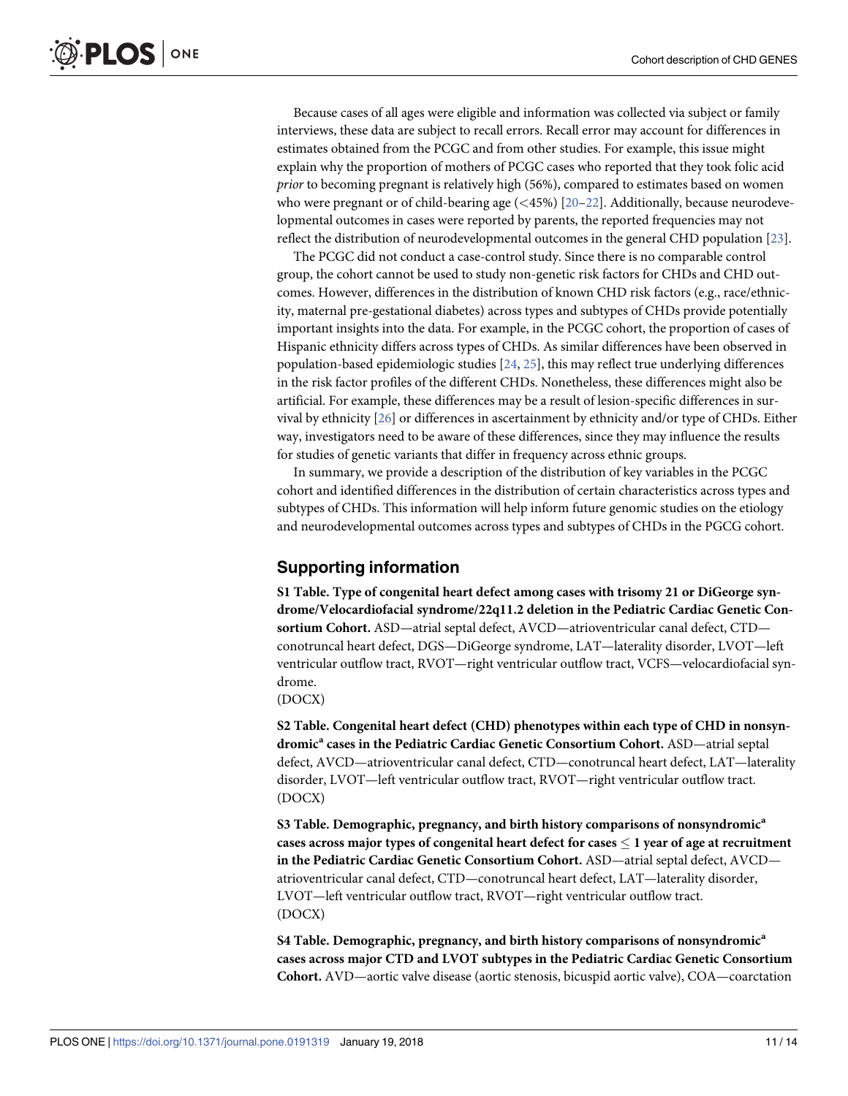<span id="page-10-0"></span>Because cases of all ages were eligible and information was collected via subject or family interviews, these data are subject to recall errors. Recall error may account for differences in estimates obtained from the PCGC and from other studies. For example, this issue might explain why the proportion of mothers of PCGC cases who reported that they took folic acid *prior* to becoming pregnant is relatively high (56%), compared to estimates based on women who were pregnant or of child-bearing age (*<*45%) [\[20–22\]](#page-13-0). Additionally, because neurodevelopmental outcomes in cases were reported by parents, the reported frequencies may not reflect the distribution of neurodevelopmental outcomes in the general CHD population [[23](#page-13-0)].

The PCGC did not conduct a case-control study. Since there is no comparable control group, the cohort cannot be used to study non-genetic risk factors for CHDs and CHD outcomes. However, differences in the distribution of known CHD risk factors (e.g., race/ethnicity, maternal pre-gestational diabetes) across types and subtypes of CHDs provide potentially important insights into the data. For example, in the PCGC cohort, the proportion of cases of Hispanic ethnicity differs across types of CHDs. As similar differences have been observed in population-based epidemiologic studies [\[24,](#page-13-0) [25](#page-13-0)], this may reflect true underlying differences in the risk factor profiles of the different CHDs. Nonetheless, these differences might also be artificial. For example, these differences may be a result of lesion-specific differences in survival by ethnicity [\[26\]](#page-13-0) or differences in ascertainment by ethnicity and/or type of CHDs. Either way, investigators need to be aware of these differences, since they may influence the results for studies of genetic variants that differ in frequency across ethnic groups.

In summary, we provide a description of the distribution of key variables in the PCGC cohort and identified differences in the distribution of certain characteristics across types and subtypes of CHDs. This information will help inform future genomic studies on the etiology and neurodevelopmental outcomes across types and subtypes of CHDs in the PGCG cohort.

### **Supporting information**

**S1 [Table.](http://www.plosone.org/article/fetchSingleRepresentation.action?uri=info:doi/10.1371/journal.pone.0191319.s001) Type of congenital heart defect among cases with trisomy 21 or DiGeorge syndrome/Velocardiofacial syndrome/22q11.2 deletion in the Pediatric Cardiac Genetic Consortium Cohort.** ASD—atrial septal defect, AVCD—atrioventricular canal defect, CTD conotruncal heart defect, DGS—DiGeorge syndrome, LAT—laterality disorder, LVOT—left ventricular outflow tract, RVOT—right ventricular outflow tract, VCFS—velocardiofacial syndrome.

(DOCX)

**S2 [Table.](http://www.plosone.org/article/fetchSingleRepresentation.action?uri=info:doi/10.1371/journal.pone.0191319.s002) Congenital heart defect (CHD) phenotypes within each type of CHD in nonsyndromic<sup>a</sup> cases in the Pediatric Cardiac Genetic Consortium Cohort.** ASD—atrial septal defect, AVCD—atrioventricular canal defect, CTD—conotruncal heart defect, LAT—laterality disorder, LVOT—left ventricular outflow tract, RVOT—right ventricular outflow tract. (DOCX)

**S3 [Table.](http://www.plosone.org/article/fetchSingleRepresentation.action?uri=info:doi/10.1371/journal.pone.0191319.s003) Demographic, pregnancy, and birth history comparisons of nonsyndromic<sup>a</sup> cases across major types of congenital heart defect for cases 1 year of age at recruitment in the Pediatric Cardiac Genetic Consortium Cohort.** ASD—atrial septal defect, AVCD atrioventricular canal defect, CTD—conotruncal heart defect, LAT—laterality disorder, LVOT—left ventricular outflow tract, RVOT—right ventricular outflow tract. (DOCX)

**S4 [Table.](http://www.plosone.org/article/fetchSingleRepresentation.action?uri=info:doi/10.1371/journal.pone.0191319.s004) Demographic, pregnancy, and birth history comparisons of nonsyndromic<sup>a</sup> cases across major CTD and LVOT subtypes in the Pediatric Cardiac Genetic Consortium Cohort.** AVD—aortic valve disease (aortic stenosis, bicuspid aortic valve), COA—coarctation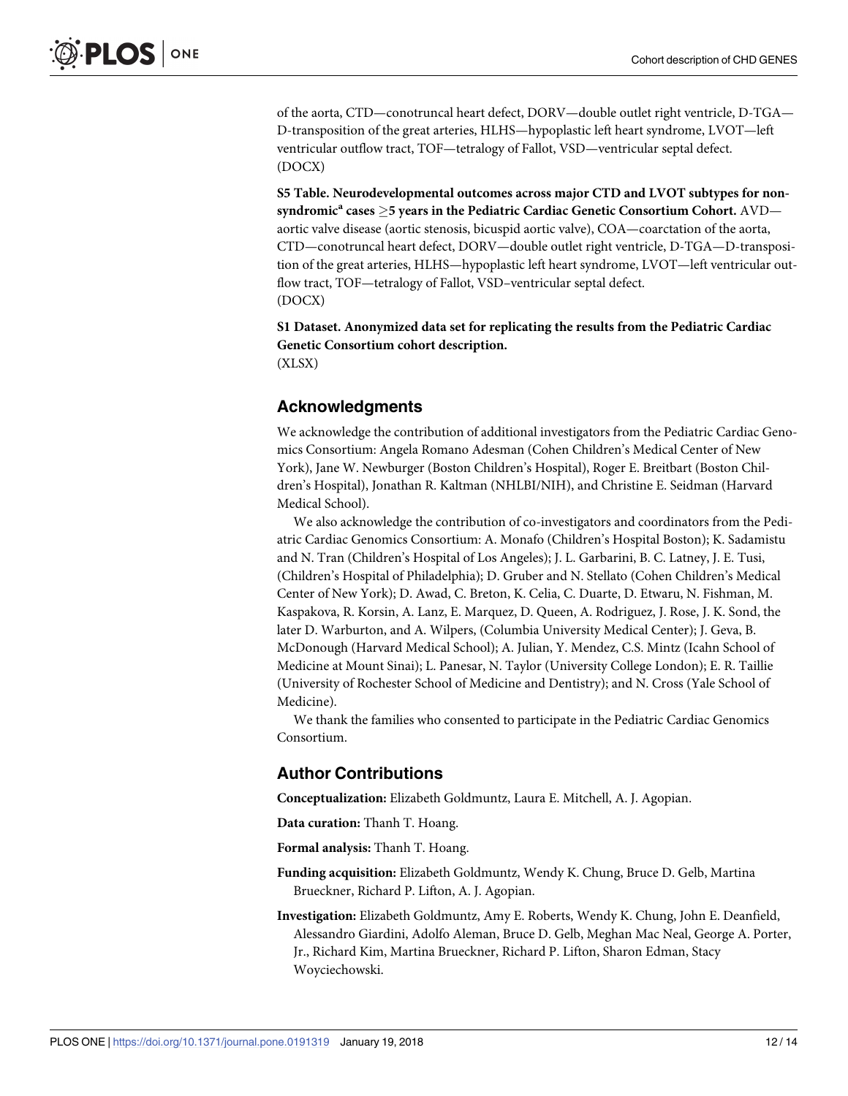<span id="page-11-0"></span>of the aorta, CTD—conotruncal heart defect, DORV—double outlet right ventricle, D-TGA— D-transposition of the great arteries, HLHS—hypoplastic left heart syndrome, LVOT—left ventricular outflow tract, TOF—tetralogy of Fallot, VSD—ventricular septal defect. (DOCX)

**S5 [Table.](http://www.plosone.org/article/fetchSingleRepresentation.action?uri=info:doi/10.1371/journal.pone.0191319.s005) Neurodevelopmental outcomes across major CTD and LVOT subtypes for nonsyndromic<sup>a</sup> cases 5 years in the Pediatric Cardiac Genetic Consortium Cohort.** AVD aortic valve disease (aortic stenosis, bicuspid aortic valve), COA—coarctation of the aorta, CTD—conotruncal heart defect, DORV—double outlet right ventricle, D-TGA—D-transposition of the great arteries, HLHS—hypoplastic left heart syndrome, LVOT—left ventricular outflow tract, TOF—tetralogy of Fallot, VSD–ventricular septal defect. (DOCX)

**S1 [Dataset.](http://www.plosone.org/article/fetchSingleRepresentation.action?uri=info:doi/10.1371/journal.pone.0191319.s006) Anonymized data set for replicating the results from the Pediatric Cardiac Genetic Consortium cohort description.** (XLSX)

# **Acknowledgments**

We acknowledge the contribution of additional investigators from the Pediatric Cardiac Genomics Consortium: Angela Romano Adesman (Cohen Children's Medical Center of New York), Jane W. Newburger (Boston Children's Hospital), Roger E. Breitbart (Boston Children's Hospital), Jonathan R. Kaltman (NHLBI/NIH), and Christine E. Seidman (Harvard Medical School).

We also acknowledge the contribution of co-investigators and coordinators from the Pediatric Cardiac Genomics Consortium: A. Monafo (Children's Hospital Boston); K. Sadamistu and N. Tran (Children's Hospital of Los Angeles); J. L. Garbarini, B. C. Latney, J. E. Tusi, (Children's Hospital of Philadelphia); D. Gruber and N. Stellato (Cohen Children's Medical Center of New York); D. Awad, C. Breton, K. Celia, C. Duarte, D. Etwaru, N. Fishman, M. Kaspakova, R. Korsin, A. Lanz, E. Marquez, D. Queen, A. Rodriguez, J. Rose, J. K. Sond, the later D. Warburton, and A. Wilpers, (Columbia University Medical Center); J. Geva, B. McDonough (Harvard Medical School); A. Julian, Y. Mendez, C.S. Mintz (Icahn School of Medicine at Mount Sinai); L. Panesar, N. Taylor (University College London); E. R. Taillie (University of Rochester School of Medicine and Dentistry); and N. Cross (Yale School of Medicine).

We thank the families who consented to participate in the Pediatric Cardiac Genomics Consortium.

# **Author Contributions**

**Conceptualization:** Elizabeth Goldmuntz, Laura E. Mitchell, A. J. Agopian.

**Data curation:** Thanh T. Hoang.

**Formal analysis:** Thanh T. Hoang.

**Funding acquisition:** Elizabeth Goldmuntz, Wendy K. Chung, Bruce D. Gelb, Martina Brueckner, Richard P. Lifton, A. J. Agopian.

**Investigation:** Elizabeth Goldmuntz, Amy E. Roberts, Wendy K. Chung, John E. Deanfield, Alessandro Giardini, Adolfo Aleman, Bruce D. Gelb, Meghan Mac Neal, George A. Porter, Jr., Richard Kim, Martina Brueckner, Richard P. Lifton, Sharon Edman, Stacy Woyciechowski.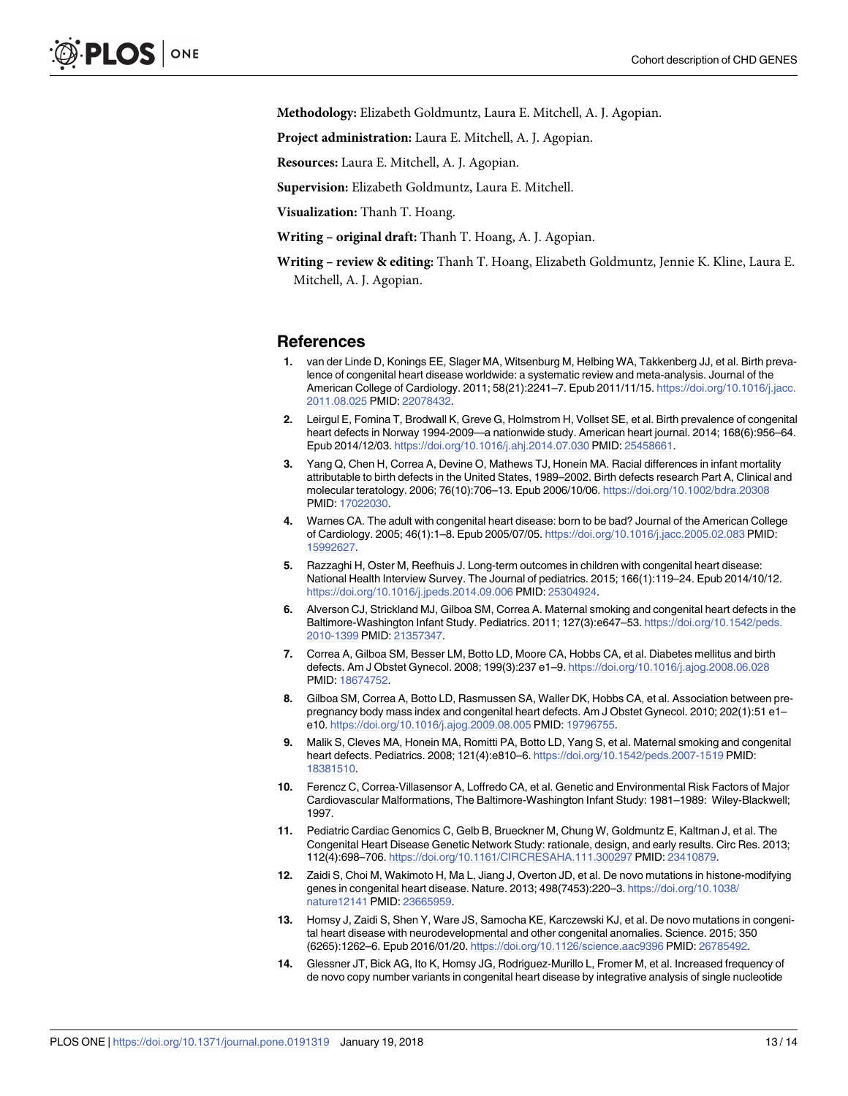<span id="page-12-0"></span>**Methodology:** Elizabeth Goldmuntz, Laura E. Mitchell, A. J. Agopian.

**Project administration:** Laura E. Mitchell, A. J. Agopian.

**Resources:** Laura E. Mitchell, A. J. Agopian.

**Supervision:** Elizabeth Goldmuntz, Laura E. Mitchell.

**Visualization:** Thanh T. Hoang.

**Writing – original draft:** Thanh T. Hoang, A. J. Agopian.

**Writing – review & editing:** Thanh T. Hoang, Elizabeth Goldmuntz, Jennie K. Kline, Laura E. Mitchell, A. J. Agopian.

#### **References**

- **[1](#page-1-0).** van der Linde D, Konings EE, Slager MA, Witsenburg M, Helbing WA, Takkenberg JJ, et al. Birth prevalence of congenital heart disease worldwide: a systematic review and meta-analysis. Journal of the American College of Cardiology. 2011; 58(21):2241–7. Epub 2011/11/15. [https://doi.org/10.1016/j.jacc.](https://doi.org/10.1016/j.jacc.2011.08.025) [2011.08.025](https://doi.org/10.1016/j.jacc.2011.08.025) PMID: [22078432.](http://www.ncbi.nlm.nih.gov/pubmed/22078432)
- **[2](#page-1-0).** Leirgul E, Fomina T, Brodwall K, Greve G, Holmstrom H, Vollset SE, et al. Birth prevalence of congenital heart defects in Norway 1994-2009—a nationwide study. American heart journal. 2014; 168(6):956–64. Epub 2014/12/03. <https://doi.org/10.1016/j.ahj.2014.07.030> PMID: [25458661](http://www.ncbi.nlm.nih.gov/pubmed/25458661).
- **[3](#page-1-0).** Yang Q, Chen H, Correa A, Devine O, Mathews TJ, Honein MA. Racial differences in infant mortality attributable to birth defects in the United States, 1989–2002. Birth defects research Part A, Clinical and molecular teratology. 2006; 76(10):706–13. Epub 2006/10/06. <https://doi.org/10.1002/bdra.20308> PMID: [17022030](http://www.ncbi.nlm.nih.gov/pubmed/17022030).
- **[4](#page-1-0).** Warnes CA. The adult with congenital heart disease: born to be bad? Journal of the American College of Cardiology. 2005; 46(1):1–8. Epub 2005/07/05. <https://doi.org/10.1016/j.jacc.2005.02.083> PMID: [15992627](http://www.ncbi.nlm.nih.gov/pubmed/15992627).
- **[5](#page-1-0).** Razzaghi H, Oster M, Reefhuis J. Long-term outcomes in children with congenital heart disease: National Health Interview Survey. The Journal of pediatrics. 2015; 166(1):119–24. Epub 2014/10/12. <https://doi.org/10.1016/j.jpeds.2014.09.006> PMID: [25304924.](http://www.ncbi.nlm.nih.gov/pubmed/25304924)
- **[6](#page-1-0).** Alverson CJ, Strickland MJ, Gilboa SM, Correa A. Maternal smoking and congenital heart defects in the Baltimore-Washington Infant Study. Pediatrics. 2011; 127(3):e647–53. [https://doi.org/10.1542/peds.](https://doi.org/10.1542/peds.2010-1399) [2010-1399](https://doi.org/10.1542/peds.2010-1399) PMID: [21357347](http://www.ncbi.nlm.nih.gov/pubmed/21357347).
- **7.** Correa A, Gilboa SM, Besser LM, Botto LD, Moore CA, Hobbs CA, et al. Diabetes mellitus and birth defects. Am J Obstet Gynecol. 2008; 199(3):237 e1–9. <https://doi.org/10.1016/j.ajog.2008.06.028> PMID: [18674752](http://www.ncbi.nlm.nih.gov/pubmed/18674752).
- **8.** Gilboa SM, Correa A, Botto LD, Rasmussen SA, Waller DK, Hobbs CA, et al. Association between prepregnancy body mass index and congenital heart defects. Am J Obstet Gynecol. 2010; 202(1):51 e1– e10. <https://doi.org/10.1016/j.ajog.2009.08.005> PMID: [19796755.](http://www.ncbi.nlm.nih.gov/pubmed/19796755)
- **9.** Malik S, Cleves MA, Honein MA, Romitti PA, Botto LD, Yang S, et al. Maternal smoking and congenital heart defects. Pediatrics. 2008; 121(4):e810–6. <https://doi.org/10.1542/peds.2007-1519> PMID: [18381510](http://www.ncbi.nlm.nih.gov/pubmed/18381510).
- **[10](#page-1-0).** Ferencz C, Correa-Villasensor A, Loffredo CA, et al. Genetic and Environmental Risk Factors of Major Cardiovascular Malformations, The Baltimore-Washington Infant Study: 1981–1989: Wiley-Blackwell; 1997.
- **[11](#page-1-0).** Pediatric Cardiac Genomics C, Gelb B, Brueckner M, Chung W, Goldmuntz E, Kaltman J, et al. The Congenital Heart Disease Genetic Network Study: rationale, design, and early results. Circ Res. 2013; 112(4):698–706. <https://doi.org/10.1161/CIRCRESAHA.111.300297> PMID: [23410879](http://www.ncbi.nlm.nih.gov/pubmed/23410879).
- **12.** Zaidi S, Choi M, Wakimoto H, Ma L, Jiang J, Overton JD, et al. De novo mutations in histone-modifying genes in congenital heart disease. Nature. 2013; 498(7453):220–3. [https://doi.org/10.1038/](https://doi.org/10.1038/nature12141) [nature12141](https://doi.org/10.1038/nature12141) PMID: [23665959](http://www.ncbi.nlm.nih.gov/pubmed/23665959).
- **[13](#page-3-0).** Homsy J, Zaidi S, Shen Y, Ware JS, Samocha KE, Karczewski KJ, et al. De novo mutations in congenital heart disease with neurodevelopmental and other congenital anomalies. Science. 2015; 350 (6265):1262–6. Epub 2016/01/20. <https://doi.org/10.1126/science.aac9396> PMID: [26785492.](http://www.ncbi.nlm.nih.gov/pubmed/26785492)
- **[14](#page-1-0).** Glessner JT, Bick AG, Ito K, Homsy JG, Rodriguez-Murillo L, Fromer M, et al. Increased frequency of de novo copy number variants in congenital heart disease by integrative analysis of single nucleotide